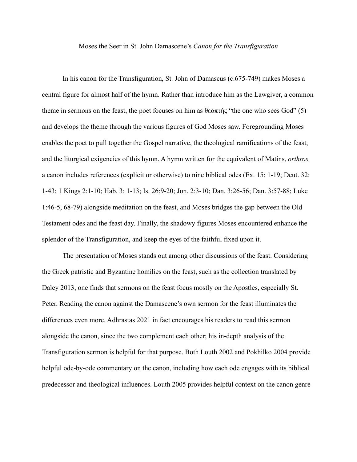## Moses the Seer in St. John Damascene's *Canon for the Transfiguration*

In his canon for the Transfiguration, St. John of Damascus (c.675-749) makes Moses a central figure for almost half of the hymn. Rather than introduce him as the Lawgiver, a common theme in sermons on the feast, the poet focuses on him as θεοπτής "the one who sees God" (5) and develops the theme through the various figures of God Moses saw. Foregrounding Moses enables the poet to pull together the Gospel narrative, the theological ramifications of the feast, and the liturgical exigencies of this hymn. A hymn written for the equivalent of Matins, *orthros,*  a canon includes references (explicit or otherwise) to nine biblical odes (Ex. 15: 1-19; Deut. 32: 1-43; 1 Kings 2:1-10; Hab. 3: 1-13; Is. 26:9-20; Jon. 2:3-10; Dan. 3:26-56; Dan. 3:57-88; Luke 1:46-5, 68-79) alongside meditation on the feast, and Moses bridges the gap between the Old Testament odes and the feast day. Finally, the shadowy figures Moses encountered enhance the splendor of the Transfiguration, and keep the eyes of the faithful fixed upon it.

The presentation of Moses stands out among other discussions of the feast. Considering the Greek patristic and Byzantine homilies on the feast, such as the collection translated by Daley 2013, one finds that sermons on the feast focus mostly on the Apostles, especially St. Peter. Reading the canon against the Damascene's own sermon for the feast illuminates the differences even more. Adhrastas 2021 in fact encourages his readers to read this sermon alongside the canon, since the two complement each other; his in-depth analysis of the Transfiguration sermon is helpful for that purpose. Both Louth 2002 and Pokhilko 2004 provide helpful ode-by-ode commentary on the canon, including how each ode engages with its biblical predecessor and theological influences. Louth 2005 provides helpful context on the canon genre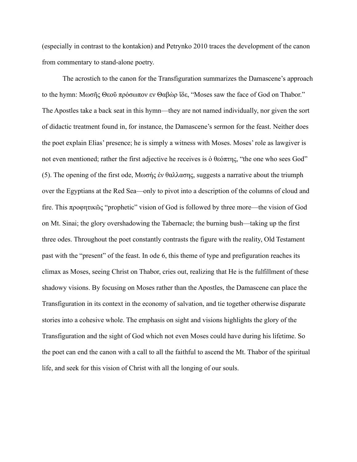(especially in contrast to the kontakion) and Petrynko 2010 traces the development of the canon from commentary to stand-alone poetry.

The acrostich to the canon for the Transfiguration summarizes the Damascene's approach to the hymn: Μωσῆς Θεοῦ πρόσωπον εν Θαβὼρ ἴδε, "Moses saw the face of God on Thabor." The Apostles take a back seat in this hymn—they are not named individually, nor given the sort of didactic treatment found in, for instance, the Damascene's sermon for the feast. Neither does the poet explain Elias' presence; he is simply a witness with Moses. Moses' role as lawgiver is not even mentioned; rather the first adjective he receives is ὁ θεόπτης, "the one who sees God" (5). The opening of the first ode, Μωσής ἐν θαλλασης, suggests a narrative about the triumph over the Egyptians at the Red Sea—only to pivot into a description of the columns of cloud and fire. This προφητικῶς "prophetic" vision of God is followed by three more—the vision of God on Mt. Sinai; the glory overshadowing the Tabernacle; the burning bush—taking up the first three odes. Throughout the poet constantly contrasts the figure with the reality, Old Testament past with the "present" of the feast. In ode 6, this theme of type and prefiguration reaches its climax as Moses, seeing Christ on Thabor, cries out, realizing that He is the fulfillment of these shadowy visions. By focusing on Moses rather than the Apostles, the Damascene can place the Transfiguration in its context in the economy of salvation, and tie together otherwise disparate stories into a cohesive whole. The emphasis on sight and visions highlights the glory of the Transfiguration and the sight of God which not even Moses could have during his lifetime. So the poet can end the canon with a call to all the faithful to ascend the Mt. Thabor of the spiritual life, and seek for this vision of Christ with all the longing of our souls.